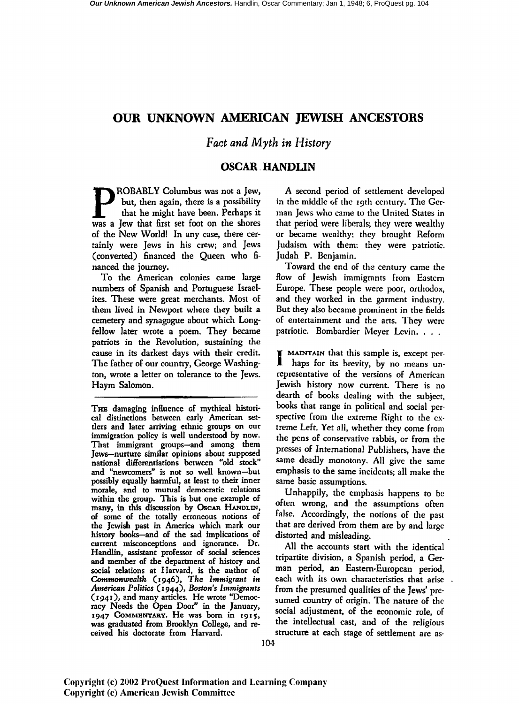# **OUR UNKNOWN AMERICAN JEWISH ANCESTORS**

## *Fact and Myth* in *History*

## **OSCAR. HANDLIN**

**PROBABLY Columbus was not a Jew,**<br>but, then again, there is a possibility<br>that he might have been. Perhaps it<br>was a Jew that first set foot on the shores but, then again, there is a possibility that he might have been. Perhaps it was a Jew that first set foot on the shores of the New World! In any case, there certainly were Jews in his crew; and Jews (converted) financed the Queen who financed the journey.

To the American colonies came large numbers of Spanish and Portuguese Israelites. These were great merchants. Most of them lived in Newport where they built a cemetery and synagogue about which Longfellow later wrote a poem.. They became patriots in the Revolution, sustaining the cause in its darkest days with their credit. The father of our country, George Washington, wrote a letter on tolerance to the Jews. Haym Salomon.

A second period of settlement developed in the middle of the 19th century. The German Jews who came to the United States in that period were liberals; they were wealthy or became wealthy; they brought Reform Judaism with them; they were patriotic. Judah P. Benjamin.

Toward the end of the century came the How of Jewish immigrants from Eastern Europe. These people were poor, orthodox, and they worked in the garment industry. But they also became prominent in the fields of entertainment and the arts. They were patriotic. Bombardier Meyer Levin. . . .

I MAINTAIN that this sample is, except per-haps for its brevity, by no means unrepresentative of the versions of American Jewish history now current. There is no dearth of books dealing with the subject, books that range in political and social perspective from the extreme Right to the extreme Left. Yet all, whether they come from the pens of conservative rabbis, or from the presses of International Publishers, have the same deadly monotony. All give the same emphasis to the same incidents; all make the same basic assumptions.

Unhappily, the emphasis happens to be often wrong, and the assumptions often false. Accordingly, the notions of the past that are derived from them are by and large distorted and misleading.

All the accounts start with the identical tripartite division, a Spanish period, a German period, an Eastern-European period, each with its own characteristics that arise from the presumed qualities of the Jews' presumed country of origin. The nature of the social adjustment, of the economic role, of the intellectual cast, and of the religious structure at each stage of settlement are as-

THE damaging influence of mythical historical distinctions between early American settlers and later arriving ethnic groups on our immigration policy is well understood by now. That immigrant groups-and among them Jews-nurture similar opinions about supposed national differentiations between "old stock" and "newcomers" is not so well known-but possibly equally harmful, at least to their inner morale, and to mutual democratic relations within the group. This is but one example of many, in this discussion by Oscar HANDLIN, of some of the totally erroneous notions of the Jewish past in America which mark our history books-and of the sad implications of current misconceptions and ignorance. Dr. Handlin, assistant professor of social sciences and member of the department of history and social relations at Harvard, is the author of *Commonwealth* (1946), *The Immigrant in American Politics* ( 1944), *Boston's Immigrants*  (1941), and many articles. He wrote "Democracy Needs the Open Door" in the January,  $1947$  COMMENTARY. He was born in 1915, was graduated from Brooklyn College, and received his doctorate from Harvard.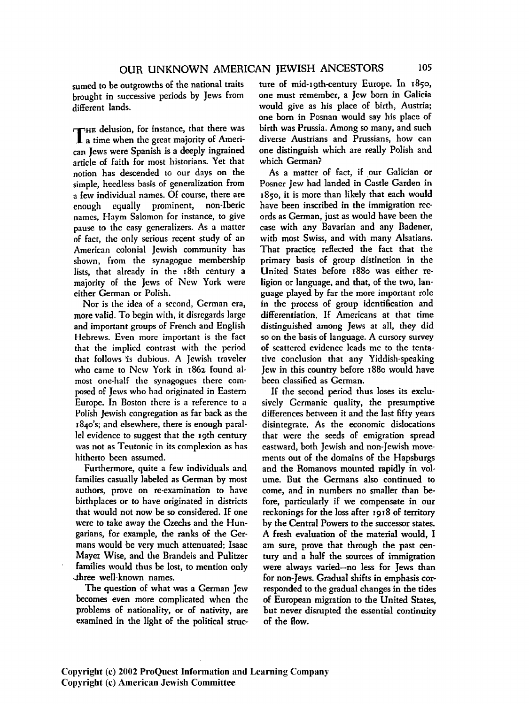sumed to be outgrowths of the national traits brought in successive periods by Jews from different lands.

THE delusion, for instance, that there was a time when the great majority of American Jews were Spanish is a deeply ingrained article of faith for most historians. Yet that notion has descended to our days on the simple, heedless basis of generalization from a few individual names. Of course, there are enough equally prominent, non-lberic names, Haym Salomon for instance, to give pause to the easy generalizers. As a matter of fact, the only serious recent study of an American colonial Jewish community has shown, from the synagogue membership lists, that already in the 18th century a majority of the Jews of New York were either German or Polish.

Nor is the idea of a second, German era, more valid. To begin with, it disregards large and important groups of French and English Hebrews. Even more important is the fact that the implied contrast with the period that follows is dubious. A Jewish traveler who came to New York in 1862 found almost one-half the synagogues there composed of Jews who had originated in Eastern Europe. In Boston there is a reference to a Polish Jewish congregation as far back as the 184o's; and elsewhere, there is enough paral lel evidence to suggest that the 19th century was not as Teutonic in its complexion as has hitherto been assumed.

Furthermore, quite a few individuals and families casually labeled as German by most authors, prove on re·examination to have birthplaces or to have originated in districts that would not now be so considered. If one were to take away the Czechs and the Hungarians, for example, the ranks of the Germans would be very much attenuated; Isaac Mayer Wise, and the Brandeis and Pulitzer families would thus be lost, to mention only three well-known names.

The question of what was a German Jew becomes even more complicated when the problems of nationality, or of nativity, are examined in the light of the political structure of mid-19th-century Europe. In 1850, one must remember, a Jew born in Galicia would give as his place of birth, Austria; one born in Posnan would say his place of birth was Prussia. Among so many, and such diverse Austrians and Prussians, how can one distinguish which are really Polish and which German?

As a matter of fact, if our Galician or Posner Jew had landed in Castle Garden in 1850, it is more than likely that each would have been inscribed in the immigration records as German, just as would have been the case with any Bavarian and any Badener, with most Swiss, and with many Alsatians. That practice reflected the fact that the primary basis of group distinction in the United States before 1880 was either religion or language, and that, of the two, Ian· guage played by far the more important role in the process of group identification and differentiation. If Americans at that time distinguished among Jews at all, they did so on the basis of language. A cursory survey of scattered evidence leads me to the tentative conclusion that any Yiddish-speaking Jew in this country before 1880 would have been classified as German.

If the second period thus loses its exclusively- Germanic quality, the presumptive differences between it and the last fifty years disintegrate. As the economic dislocations that were the seeds of emigration spread eastward, both Jewish and non-Jewish movements out of the domains of the Hapsburgs and the Romanovs mounted rapidly in volume. But the Germans also continued to come, and in numbers no smaller than be· fore, particularly if we compensate in our reckonings for the loss after 1918 of territory by the Central Powers to the successor states. A fresh evaluation of the material would, I am sure, prove that through the past century and a half the sources of immigration were always varied-no less for Jews than for non-Jews. Gradual shifts in emphasis corresponded to the gradual changes in the tides of European migration to the United States, but never disrupted the essential continuity of the How.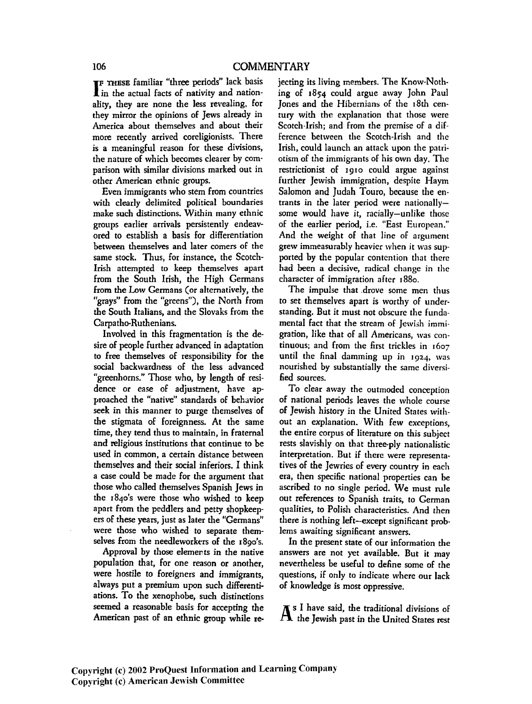**IF THESE familiar "three periods" lack basis**<br>**I** in the actual facts of nativity and nationin the actual facts of nativity and nationality, they are none the less revealing, for they mirror the opinions of Jews already in America about themselves and about their more recently arrived coreligionists. There is a meaningful reason for these divisions, the nature of which becomes clearer by comparison with similar divisions marked out in other American ethnic groups.

Even immigrants who stem from countries with clearly delimited political boundaries make such distinctions. Within many ethnic groups earlier arrivals persistently endeavored to establish a basis for differentiation between themselves and later comers of the same stock. Thus, for instance, the Scotch-Irish attempted to keep themselves apart from the South Irish, the High Germans from the Low Germans (or alternatively, the "grays" from the "greens"), the North from the South Italians, and the Slovaks from the Carpatho-Ruthenians.

Involved in this fragmentation is the desire of people further advanced in adaptation to free themselves of responsibility for the social backwardness of the less advanced "greenhorns." Those who, by length of residence or ease of adjustment, have approached the "native" standards of behavior seek in this manner to purge themselves of the stigmata of foreignness. At the same time, they tend thus to maintain, in fraternal and religious institutions that continue to be used in common, a certain distance between themselves and their social inferiors. I think a case could be made for the argument that those who called themselves Spanish Jews in the 184o's were those who wished to keep apart from the peddlers and petty shopkeepers of these years, just as later the "Germans" were those who wished to separate themselves from the needleworkers of the 189o's.

Approval by those elements in the native population that, for one reason or another, were hostile to foreigners and immigrants, always put a premium upon such differentiations. To the xenophobe, such distinctions seemed a reasonable basis for accepting the American past of an ethnic group while rejeering its living members. The Know-Nothing of 1854 could argue away John Paul Jones and the Hibernians of the 18th century with the explanation that those were Scotch-Irish; and from the premise of a difference between the Scotch~Irish and the Irish, could launch an attack upon the patriotism of the immigrants of his own day. The restrictionist of 1910 could argue against further Jewish immigration, despite Haym Salomon and Judah Touro, because the entrants in the later period were nationallysome would have it, racially-unlike those of the earlier period, i.e. "East European." And the weight of that line of argument grew immeasurably heavier when it was supported by the popular contention that there had been a decisive, radical change in the character of immigration after 1880.

The impulse that .drove some men thus to set themselves apart is worthy of understanding. But it must not obscure the fundamental fact that the stream of Jewish immigration, like that of all Americans, was continuous; and from the first trickles in 1607 until the final damming up in 1924, was nourished by substantially the same diversified sources.

To dear away the outmoded conception of national periods leaves the whole course of Jewish history in the United States without an explanation. With few exceptions, the entire corpus of literature on this subject rests slavishly on that three-ply nationalistic interpretation. But if there were representatives of the Jewries of every country in each era, then specific national properties can be ascribed to no single period. We must rule out references to Spanish traits, to German qualities, to Polish characteristics. And then there is nothing left-except significant problems awaiting significant answers.

In the present state of our information the answers are not yet available. But it may nevertheless be useful to define some of the questions, if only to indicate where our lack of knowledge is most oppressive.

 $\mathbf{A}^{\text{s I}}$  have said, the traditional divisions of the Jewish past in the United States rest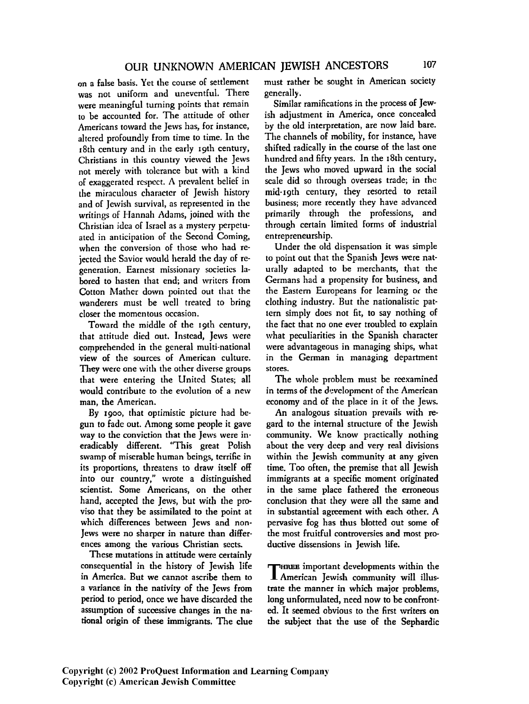on a false basis. Yet the course of settlement was not uniform and uneventful. There were meaningful turning points that remain to be accounted for. The attitude of other Americans toward the Jews has, for instance, altered profoundly from time to time. In the 18th century and in the early 19th century, Christians in this country viewed the Jews not merely with tolerance but with a kind of exaggerated respect. A prevalent belief in the miraculous character of Jewish history and of Jewish survival, as represented in the writings of Hannah Adams, joined with the Christian idea of Israel as a mystery perpetuated in anticipation of the Second Coming, when the conversion of those who had rejected the Savior would herald the day of regeneration. Earnest missionary societies labored to hasten that end; and writers from Cotton Mather down pointed out that the wanderers must be well treated to bring closer the momentous occasion.

Toward the middle of the 19th century, that attitude died out. Instead, Jews were comprehended in the general multi-national **view** of the sources of American culture. They were one with the other diverse groups that were entering the United States; all would contribute to the evolution of a new man, the American.

By 1900, that optimistic picture had begun to fade out. Among some people it gave way to the conviction that the Jews were ineradicably different. "This great Polish swamp of miserable human beings, terrific in its proportions, threatens to draw itself off into our country," wrote a distinguished scientist. Some Americans, on the other hand, accepted the Jews, but with the proviso that they be assimilated to the point at which differences between Jews and non-Jews were no sharper in nature than differences among the various Christian sects.

These mutations in attitude were certainly consequential in the history of Jewish life in America. But we cannot ascribe them to a variance in the nativity of the Jews from period to period, once we have discarded the assumption of successive changes in the national origin of these immigrants. The clue must rather be sought in American society generally.

Similar ramifications in the process of Jewish adjustment in America, once concealed by the old interpretation, are now laid bare. The channels of mobility, for instance, have shifted radically in the course of the last one hundred and fifty years. In the 18th century, the Jews who moved upward in the social scale did so through overseas trade; in the mid·19th century, they resorted to retail business; more recently they have advanced primarily through the professions, and through certain limited forms of industrial entrepreneurship.

Under the old dispensation it was simple to point out that the Spanish Jews were naturally adapted to be merchants, that the Germans had a propensity for business, and the Eastern Europeans for learning *oc* the clothing industry. But the nationalistic pattern simply does not fit, to say nothing of the fact that no one ever troubled to explain what peculiarities in the Spanish character were advantageous in managing ships, what in the German in managing department stores.

The whole problem must be reexamined in terms of the development of the American economy and of the place in it of the Jews.

An analogous situation prevails with regard to the internal structure of the Jewish community. We know practically nothing about the very deep and very real divisions within the Jewish community at any given time. Too often, the premise that all Jewish immigrants at a specific moment originated in the same place fathered the erroneous conclusion that they were all the same and in substantial agreement with each other. A pervasive fog has thus blotted out some of the most fruitful controversies and most productive dissensions in Jewish life.

THREE important developments within the American Jewish community will illustrate the manner in which major problems, long unformulated, need now to be confronted. It seemed obvious to the first writers on the subject that the use of the Sephardic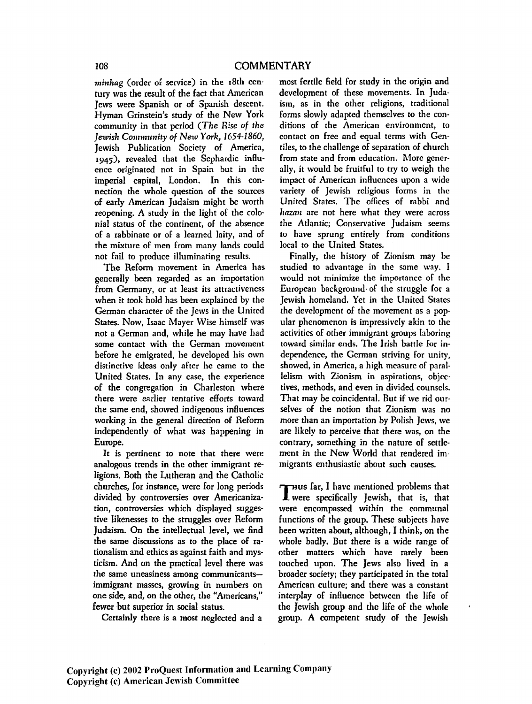*minhag* (order of service) in the 18th cen· tury was the result of the fact that American Jews were Spanish or of Spanish descent. Hyman Grinstein's study of the New York community in that period *(The R:se of tlte Jeunsh Community of New York, 1654-1860,*  Jewish Publication Society of America, 194;), revealed that the Sephardic inHuence originated not in Spain but in the imperial capital, London. In this connection the whole question of the sources of early American Judaism might be worth reopening. A study in the light of the colonial status of the continent, of the absence of a rabbinate or of a learned laity, and of the mixture of men from many lands could not fail to produce illuminating results.

The Reform movement in America has generally been regarded as an importation from Germany, or at least its attractiveness when it took hold has been explained by the German character of the Jews in the United States. Now, Isaac Mayer Wise himself was not a German and, while he may have had some contact with the German movement before he emigrated, he developed his own distinctive ideas only after he came to the United States. In any case, the experience of the congregation in Charleston where there were earlier tentative efforts toward the same end, showed indigenous inHuences working in the general direction of Reform independently of what was happening in Europe.

It is pertinent to note that there were analogous trends in the other immigrant religions. Both the Lutheran and the Catholic churches, for instance, were for long periods divided by controversies over Americanization, controversies which displayed suggestive likenesses to the struggles over Reform Judaism. On the intellectual level, we find the same discussions as to the place of rationalism and ethics as against faith and mysticism. And on the practical level there was the same uneasiness among communicantsimmigrant masses, growing in numbers on one side, and, on the other, the "Americans," fewer but superior in social status.

Certainly there is a most neglected and a

most fertile field for study in the origin and development of these movements. In Juda· ism, as in the other religions, traditional forms slowly adapted themselves to the conditions of the American environment, to contact on free and equal terms with Gentiles, to the challenge of separation of church from state and from education. More generally, it would be fruitful to try to weigh the impact of American inHuences upon a wide variety of Jewish religious forms in the United States. The offices of rabbi and *liazan* are not here what they were across the Atlantic; Conservative Judaism seems to have sprung entirely from conditions local to the United States.

Finally, the history of Zionism may be studied to advantage in the same way. I would not minimize the importance of the European background· of the struggle for a Jewish homeland. Yet in the United States the development of the movement as a popular phenomenon is impressively akin to the activities of other immigrant groups laboring toward similar ends. The Irish battle for independence, the German striving for unity, showed, in America, a high measure of parallelism with Zionism in aspirations, objectives, methods, and even in divided counsels. That may he coincidental. But if we rid ourselves of the notion that Zionism was no more than an importation by Polish Jews, we are likely to perceive that there was, on the contrary, something in the nature of settlement in the New World that rendered immigrants enthusiastic about such causes.

 $\tau$  aus far, I have mentioned problems that **J\_** were specifica1ly Jewish, that is, that were encompassed within the communal functions of the group. These subjects have been written about, although, I think, on the whole badly. But there is a wide range of other matters which have rarely been touched upon. The Jews also lived in a broader society; they participated in the total American culture; and there was a constant interplay of inHuence between the life of the Jewish group and the life of the whole group. A competent study of the Jewish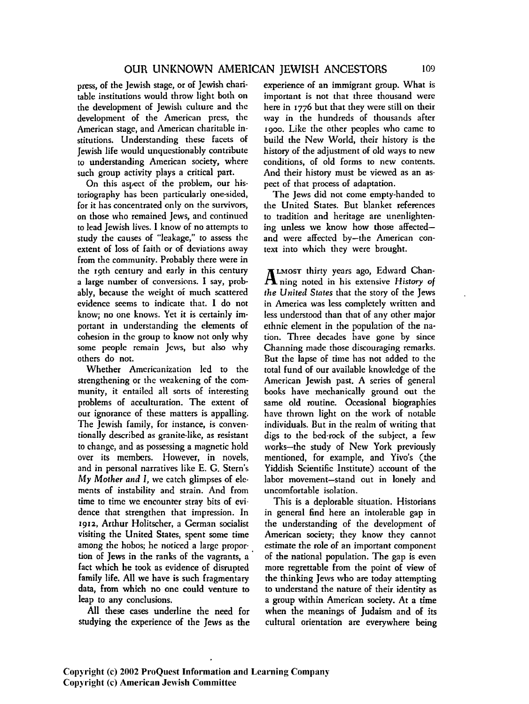press, of the Jewish stage, or of Jewish charitable institutions would throw light both on the development of Jewish culture and the development of the American press, the American stage, and American charitable institutions. Understanding these facets of Jewish life would unquestionably contribute to understanding American society, where such group activity plays a critical part.

On this aspect of the problem, our historiography has been particularly one-sided, for it has concentrated only on the survivors, on those who remained Jews, and continued to lead Jewish lives. I know of no attempts to study the causes of "leakage," to assess the extent of loss of faith or of deviations away from the community. Probably there were in the 19th century and early in this century a large number of conversions. I say, probably, because the weight of much scattered evidence seems to indicate that. I do not know; no one knows. Yet it is certainly important in understanding the elements of cohesion in the group to know not only why some people remain Jews, but also why others do not.

Whether Americanization led to the strengthening or the weakening of the community, it entailed all sorts of interesting problems of acculturation. The extent of our ignorance of these matters is appalling. The Jewish family, for instance, is conventionally described as granite·like, as resistant to change, and as possessing a magnetic hold over its members. However, in novels, and in personal narratives like E. G. Stern's My *Mother and* I, we catch glimpses of elc· ments of instability and strain. And from time to time we encounter stray bits of evi· dence that strengthen that impression. In 1912, Arthur Holitscher, a German socialist visiting the United States, spent some time among the hobos; he noticed a large propor· tion of Jews in the ranks of the vagrants, a· fact which he took as evidence of disrupted family life. All we have is such fragmentary data, from which no one could venture to leap to any conclusions.

All these cases underline the need for studying the experience of the Jews as the

experience of an immigrant group. What is important is not that three thousand were here in 1776 but that they were still on their way in the hundreds of thousands after 1900. Like the other peoples who came to build the New World, their history is the history of the adjustment of old ways to new conditions, of old forms to new contents. And their history must be viewed as an aspect of that process of adaptation.

The Jews did not come empty-handed to the United States. But blanket references to tradition and heritage are unenlightening unless we know how those affectedand were affected by-the American context into which they were brought.

I LMOST thirty years ago, Edward Chan-.ti. ning noted in his extensive *History* of *the United States* that the story of the Jews in America was less completely written and less understood than that of any other major ethnic element in the population of the nation. Three decades have gone by since Channing made those discouraging remarks. But the lapse of time has not added to the total fund of our available knowledge of the American Jewish past. A series of general books have mechanically ground out the same old routine. Occasional biographies have thrown light on the work of notable individuals. But in the realm of writing that digs to the bed-rock of the subject, a few works-the study of New York previously mentioned, for example, and Yivo's (the Yiddish Scientific Institute) account of the labor movement-stand out in lonely and uncomfortable isolation.

This is a deplorable situation. Historians in general find here an intolerable gap in the understanding of the development of American society; they know they cannot estimate the role of an important component of the national population. The gap is even more regrettable from the point of view of the thinking Jews who are today attempting to understand the nature of their identity as a group within American society. At a time when the meanings of Judaism and of its cultural orientation are everywhere being